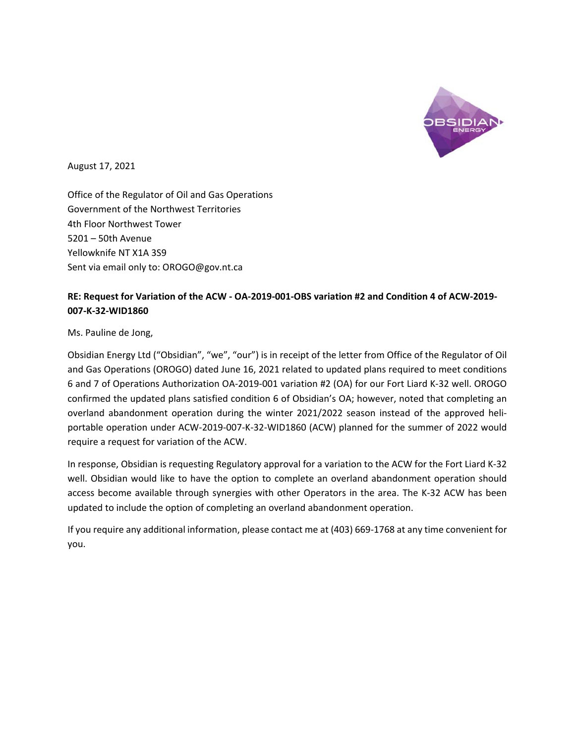

August 17, 2021

Office of the Regulator of Oil and Gas Operations Government of the Northwest Territories 4th Floor Northwest Tower 5201 – 50th Avenue Yellowknife NT X1A 3S9 Sent via email only to: OROGO@gov.nt.ca

## **RE: Request for Variation of the ACW ‐ OA‐2019‐001‐OBS variation #2 and Condition 4 of ACW‐2019‐ 007‐K‐32‐WID1860**

## Ms. Pauline de Jong,

Obsidian Energy Ltd ("Obsidian", "we", "our") is in receipt of the letter from Office of the Regulator of Oil and Gas Operations (OROGO) dated June 16, 2021 related to updated plans required to meet conditions 6 and 7 of Operations Authorization OA‐2019‐001 variation #2 (OA) for our Fort Liard K‐32 well. OROGO confirmed the updated plans satisfied condition 6 of Obsidian's OA; however, noted that completing an overland abandonment operation during the winter 2021/2022 season instead of the approved heliportable operation under ACW‐2019‐007‐K‐32‐WID1860 (ACW) planned for the summer of 2022 would require a request for variation of the ACW.

In response, Obsidian is requesting Regulatory approval for a variation to the ACW for the Fort Liard K‐32 well. Obsidian would like to have the option to complete an overland abandonment operation should access become available through synergies with other Operators in the area. The K‐32 ACW has been updated to include the option of completing an overland abandonment operation.

If you require any additional information, please contact me at (403) 669‐1768 at any time convenient for you.